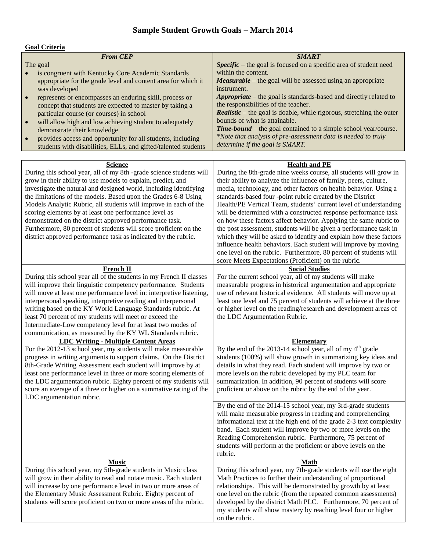## **Sample Student Growth Goals – March 2014**

| <b>Goal Criteria</b> |  |
|----------------------|--|
|                      |  |

| Goal Criteria                                                                                                                                                                                                                                                                                                                                                                                                                                                                                                                                                                                                              |                                                                                                                                                                                                                                                                                                                                                                                                                                                                                                                                                                                                                                                                                                                                                                                                                                                          |
|----------------------------------------------------------------------------------------------------------------------------------------------------------------------------------------------------------------------------------------------------------------------------------------------------------------------------------------------------------------------------------------------------------------------------------------------------------------------------------------------------------------------------------------------------------------------------------------------------------------------------|----------------------------------------------------------------------------------------------------------------------------------------------------------------------------------------------------------------------------------------------------------------------------------------------------------------------------------------------------------------------------------------------------------------------------------------------------------------------------------------------------------------------------------------------------------------------------------------------------------------------------------------------------------------------------------------------------------------------------------------------------------------------------------------------------------------------------------------------------------|
| <b>From CEP</b><br>The goal                                                                                                                                                                                                                                                                                                                                                                                                                                                                                                                                                                                                | <b>SMART</b><br>Specific – the goal is focused on a specific area of student need                                                                                                                                                                                                                                                                                                                                                                                                                                                                                                                                                                                                                                                                                                                                                                        |
| is congruent with Kentucky Core Academic Standards<br>appropriate for the grade level and content area for which it<br>was developed                                                                                                                                                                                                                                                                                                                                                                                                                                                                                       | within the content.<br><b>Measurable</b> – the goal will be assessed using an appropriate<br>instrument.                                                                                                                                                                                                                                                                                                                                                                                                                                                                                                                                                                                                                                                                                                                                                 |
| represents or encompasses an enduring skill, process or<br>$\bullet$<br>concept that students are expected to master by taking a                                                                                                                                                                                                                                                                                                                                                                                                                                                                                           | Appropriate – the goal is standards-based and directly related to<br>the responsibilities of the teacher.                                                                                                                                                                                                                                                                                                                                                                                                                                                                                                                                                                                                                                                                                                                                                |
| particular course (or courses) in school<br>will allow high and low achieving student to adequately<br>$\bullet$                                                                                                                                                                                                                                                                                                                                                                                                                                                                                                           | Realistic - the goal is doable, while rigorous, stretching the outer<br>bounds of what is attainable.                                                                                                                                                                                                                                                                                                                                                                                                                                                                                                                                                                                                                                                                                                                                                    |
| demonstrate their knowledge<br>provides access and opportunity for all students, including<br>$\bullet$<br>students with disabilities, ELLs, and gifted/talented students                                                                                                                                                                                                                                                                                                                                                                                                                                                  | <b>Time-bound</b> – the goal contained to a simple school year/course.<br>*Note that analysis of pre-assessment data is needed to truly<br>determine if the goal is SMART.                                                                                                                                                                                                                                                                                                                                                                                                                                                                                                                                                                                                                                                                               |
|                                                                                                                                                                                                                                                                                                                                                                                                                                                                                                                                                                                                                            |                                                                                                                                                                                                                                                                                                                                                                                                                                                                                                                                                                                                                                                                                                                                                                                                                                                          |
| <b>Science</b><br>During this school year, all of my 8th -grade science students will<br>grow in their ability to use models to explain, predict, and<br>investigate the natural and designed world, including identifying<br>the limitations of the models. Based upon the Grades 6-8 Using<br>Models Analytic Rubric, all students will improve in each of the<br>scoring elements by at least one performance level as<br>demonstrated on the district approved performance task.<br>Furthermore, 80 percent of students will score proficient on the<br>district approved performance task as indicated by the rubric. | <b>Health and PE</b><br>During the 8th-grade nine weeks course, all students will grow in<br>their ability to analyze the influence of family, peers, culture,<br>media, technology, and other factors on health behavior. Using a<br>standards-based four -point rubric created by the District<br>Health/PE Vertical Team, students' current level of understanding<br>will be determined with a constructed response performance task<br>on how these factors affect behavior. Applying the same rubric to<br>the post assessment, students will be given a performance task in<br>which they will be asked to identify and explain how these factors<br>influence health behaviors. Each student will improve by moving<br>one level on the rubric. Furthermore, 80 percent of students will<br>score Meets Expectations (Proficient) on the rubric. |
| <b>French II</b>                                                                                                                                                                                                                                                                                                                                                                                                                                                                                                                                                                                                           | <b>Social Studies</b>                                                                                                                                                                                                                                                                                                                                                                                                                                                                                                                                                                                                                                                                                                                                                                                                                                    |
| During this school year all of the students in my French II classes<br>will improve their linguistic competency performance. Students<br>will move at least one performance level in: interpretive listening,<br>interpersonal speaking, interpretive reading and interpersonal<br>writing based on the KY World Language Standards rubric. At<br>least 70 percent of my students will meet or exceed the<br>Intermediate-Low competency level for at least two modes of<br>communication, as measured by the KY WL Standards rubric.                                                                                      | For the current school year, all of my students will make<br>measurable progress in historical argumentation and appropriate<br>use of relevant historical evidence. All students will move up at<br>least one level and 75 percent of students will achieve at the three<br>or higher level on the reading/research and development areas of<br>the LDC Argumentation Rubric.                                                                                                                                                                                                                                                                                                                                                                                                                                                                           |
| <b>LDC Writing - Multiple Content Areas</b>                                                                                                                                                                                                                                                                                                                                                                                                                                                                                                                                                                                | <b>Elementary</b>                                                                                                                                                                                                                                                                                                                                                                                                                                                                                                                                                                                                                                                                                                                                                                                                                                        |
| For the 2012-13 school year, my students will make measurable<br>progress in writing arguments to support claims. On the District<br>8th-Grade Writing Assessment each student will improve by at<br>least one performance level in three or more scoring elements of<br>the LDC argumentation rubric. Eighty percent of my students will<br>score an average of a three or higher on a summative rating of the<br>LDC argumentation rubric.                                                                                                                                                                               | By the end of the 2013-14 school year, all of my $4th$ grade<br>students (100%) will show growth in summarizing key ideas and<br>details in what they read. Each student will improve by two or<br>more levels on the rubric developed by my PLC team for<br>summarization. In addition, 90 percent of students will score<br>proficient or above on the rubric by the end of the year.                                                                                                                                                                                                                                                                                                                                                                                                                                                                  |
|                                                                                                                                                                                                                                                                                                                                                                                                                                                                                                                                                                                                                            | By the end of the 2014-15 school year, my 3rd-grade students<br>will make measurable progress in reading and comprehending<br>informational text at the high end of the grade 2-3 text complexity<br>band. Each student will improve by two or more levels on the<br>Reading Comprehension rubric. Furthermore, 75 percent of<br>students will perform at the proficient or above levels on the<br>rubric.                                                                                                                                                                                                                                                                                                                                                                                                                                               |
| <b>Music</b>                                                                                                                                                                                                                                                                                                                                                                                                                                                                                                                                                                                                               | <b>Math</b>                                                                                                                                                                                                                                                                                                                                                                                                                                                                                                                                                                                                                                                                                                                                                                                                                                              |
| During this school year, my 5th-grade students in Music class<br>will grow in their ability to read and notate music. Each student<br>will increase by one performance level in two or more areas of<br>the Elementary Music Assessment Rubric. Eighty percent of<br>students will score proficient on two or more areas of the rubric.                                                                                                                                                                                                                                                                                    | During this school year, my 7th-grade students will use the eight<br>Math Practices to further their understanding of proportional<br>relationships. This will be demonstrated by growth by at least<br>one level on the rubric (from the repeated common assessments)<br>developed by the district Math PLC. Furthermore, 70 percent of<br>my students will show mastery by reaching level four or higher<br>on the rubric.                                                                                                                                                                                                                                                                                                                                                                                                                             |